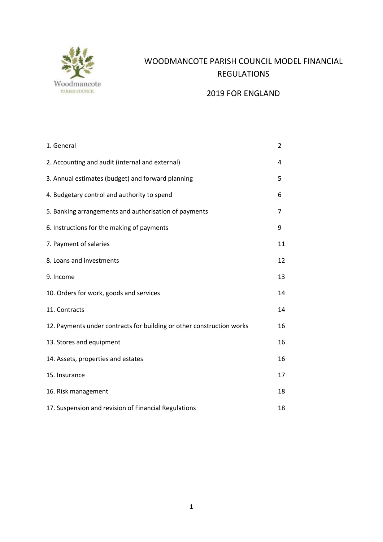

# WOODMANCOTE PARISH COUNCIL MODEL FINANCIAL REGULATIONS

## 2019 FOR ENGLAND

| 1. General                                                            | 2  |
|-----------------------------------------------------------------------|----|
| 2. Accounting and audit (internal and external)                       | 4  |
| 3. Annual estimates (budget) and forward planning                     | 5  |
| 4. Budgetary control and authority to spend                           | 6  |
| 5. Banking arrangements and authorisation of payments                 | 7  |
| 6. Instructions for the making of payments                            | 9  |
| 7. Payment of salaries                                                | 11 |
| 8. Loans and investments                                              | 12 |
| 9. Income                                                             | 13 |
| 10. Orders for work, goods and services                               | 14 |
| 11. Contracts                                                         | 14 |
| 12. Payments under contracts for building or other construction works | 16 |
| 13. Stores and equipment                                              | 16 |
| 14. Assets, properties and estates                                    | 16 |
| 15. Insurance                                                         | 17 |
| 16. Risk management                                                   | 18 |
| 17. Suspension and revision of Financial Regulations                  | 18 |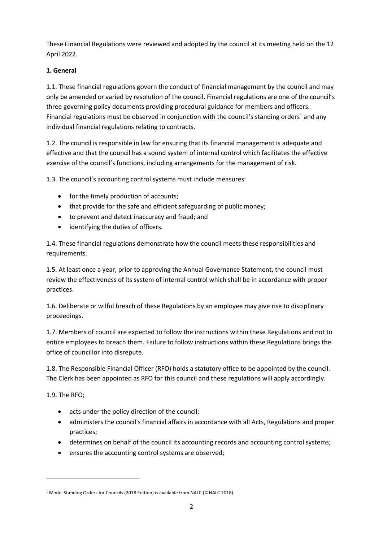These Financial Regulations were reviewed and adopted by the council at its meeting held on the 12 April 2022.

## **1. General**

1.1. These financial regulations govern the conduct of financial management by the council and may only be amended or varied by resolution of the council. Financial regulations are one of the council's three governing policy documents providing procedural guidance for members and officers. Financial regulations must be observed in conjunction with the council's standing orders<sup>1</sup> and any individual financial regulations relating to contracts.

1.2. The council is responsible in law for ensuring that its financial management is adequate and effective and that the council has a sound system of internal control which facilitates the effective exercise of the council's functions, including arrangements for the management of risk.

1.3. The council's accounting control systems must include measures:

- for the timely production of accounts;
- that provide for the safe and efficient safeguarding of public money;
- to prevent and detect inaccuracy and fraud; and
- identifying the duties of officers.

1.4. These financial regulations demonstrate how the council meets these responsibilities and requirements.

1.5. At least once a year, prior to approving the Annual Governance Statement, the council must review the effectiveness of its system of internal control which shall be in accordance with proper practices.

1.6. Deliberate or wilful breach of these Regulations by an employee may give rise to disciplinary proceedings.

1.7. Members of council are expected to follow the instructions within these Regulations and not to entice employees to breach them. Failure to follow instructions within these Regulations brings the office of councillor into disrepute.

1.8. The Responsible Financial Officer (RFO) holds a statutory office to be appointed by the council. The Clerk has been appointed as RFO for this council and these regulations will apply accordingly.

1.9. The RFO;

- acts under the policy direction of the council;
- administers the council's financial affairs in accordance with all Acts, Regulations and proper practices;
- determines on behalf of the council its accounting records and accounting control systems;
- ensures the accounting control systems are observed;

<sup>1</sup> Model Standing Orders for Councils (2018 Edition) is available from NALC (©NALC 2018)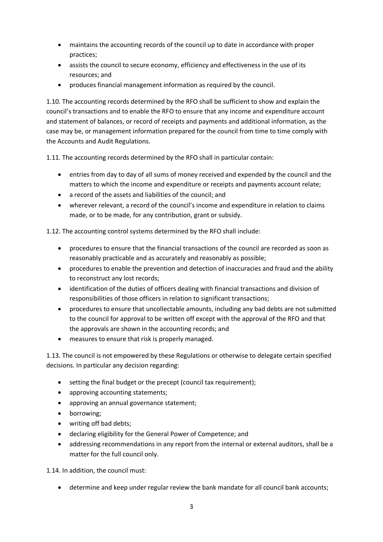- maintains the accounting records of the council up to date in accordance with proper practices;
- assists the council to secure economy, efficiency and effectiveness in the use of its resources; and
- produces financial management information as required by the council.

1.10. The accounting records determined by the RFO shall be sufficient to show and explain the council's transactions and to enable the RFO to ensure that any income and expenditure account and statement of balances, or record of receipts and payments and additional information, as the case may be, or management information prepared for the council from time to time comply with the Accounts and Audit Regulations.

1.11. The accounting records determined by the RFO shall in particular contain:

- entries from day to day of all sums of money received and expended by the council and the matters to which the income and expenditure or receipts and payments account relate;
- a record of the assets and liabilities of the council; and
- wherever relevant, a record of the council's income and expenditure in relation to claims made, or to be made, for any contribution, grant or subsidy.

1.12. The accounting control systems determined by the RFO shall include:

- procedures to ensure that the financial transactions of the council are recorded as soon as reasonably practicable and as accurately and reasonably as possible;
- procedures to enable the prevention and detection of inaccuracies and fraud and the ability to reconstruct any lost records;
- identification of the duties of officers dealing with financial transactions and division of responsibilities of those officers in relation to significant transactions;
- procedures to ensure that uncollectable amounts, including any bad debts are not submitted to the council for approval to be written off except with the approval of the RFO and that the approvals are shown in the accounting records; and
- measures to ensure that risk is properly managed.

1.13. The council is not empowered by these Regulations or otherwise to delegate certain specified decisions. In particular any decision regarding:

- setting the final budget or the precept (council tax requirement);
- approving accounting statements;
- approving an annual governance statement;
- borrowing;
- writing off bad debts;
- declaring eligibility for the General Power of Competence; and
- addressing recommendations in any report from the internal or external auditors, shall be a matter for the full council only.

1.14. In addition, the council must:

• determine and keep under regular review the bank mandate for all council bank accounts;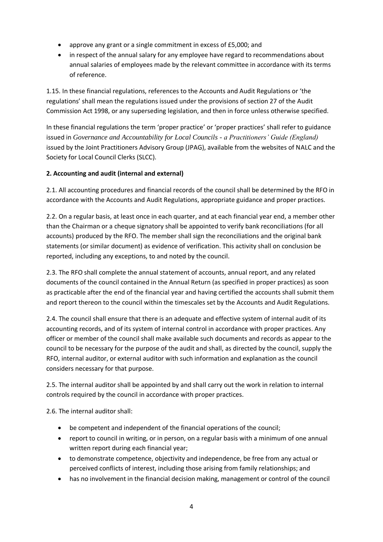- approve any grant or a single commitment in excess of £5,000; and
- in respect of the annual salary for any employee have regard to recommendations about annual salaries of employees made by the relevant committee in accordance with its terms of reference.

1.15. In these financial regulations, references to the Accounts and Audit Regulations or 'the regulations' shall mean the regulations issued under the provisions of section 27 of the Audit Commission Act 1998, or any superseding legislation, and then in force unless otherwise specified.

In these financial regulations the term 'proper practice' or 'proper practices' shall refer to guidance issued in *Governance and Accountability for Local Councils - a Practitioners' Guide (England)* issued by the Joint Practitioners Advisory Group (JPAG), available from the websites of NALC and the Society for Local Council Clerks (SLCC).

## **2. Accounting and audit (internal and external)**

2.1. All accounting procedures and financial records of the council shall be determined by the RFO in accordance with the Accounts and Audit Regulations, appropriate guidance and proper practices.

2.2. On a regular basis, at least once in each quarter, and at each financial year end, a member other than the Chairman or a cheque signatory shall be appointed to verify bank reconciliations (for all accounts) produced by the RFO. The member shall sign the reconciliations and the original bank statements (or similar document) as evidence of verification. This activity shall on conclusion be reported, including any exceptions, to and noted by the council.

2.3. The RFO shall complete the annual statement of accounts, annual report, and any related documents of the council contained in the Annual Return (as specified in proper practices) as soon as practicable after the end of the financial year and having certified the accounts shall submit them and report thereon to the council within the timescales set by the Accounts and Audit Regulations.

2.4. The council shall ensure that there is an adequate and effective system of internal audit of its accounting records, and of its system of internal control in accordance with proper practices. Any officer or member of the council shall make available such documents and records as appear to the council to be necessary for the purpose of the audit and shall, as directed by the council, supply the RFO, internal auditor, or external auditor with such information and explanation as the council considers necessary for that purpose.

2.5. The internal auditor shall be appointed by and shall carry out the work in relation to internal controls required by the council in accordance with proper practices.

2.6. The internal auditor shall:

- be competent and independent of the financial operations of the council;
- report to council in writing, or in person, on a regular basis with a minimum of one annual written report during each financial year;
- to demonstrate competence, objectivity and independence, be free from any actual or perceived conflicts of interest, including those arising from family relationships; and
- has no involvement in the financial decision making, management or control of the council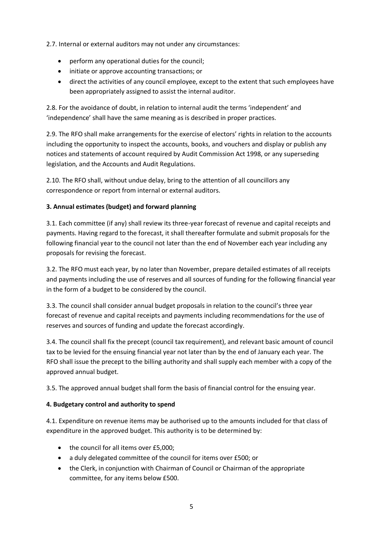2.7. Internal or external auditors may not under any circumstances:

- perform any operational duties for the council;
- initiate or approve accounting transactions; or
- direct the activities of any council employee, except to the extent that such employees have been appropriately assigned to assist the internal auditor.

2.8. For the avoidance of doubt, in relation to internal audit the terms 'independent' and 'independence' shall have the same meaning as is described in proper practices.

2.9. The RFO shall make arrangements for the exercise of electors' rights in relation to the accounts including the opportunity to inspect the accounts, books, and vouchers and display or publish any notices and statements of account required by Audit Commission Act 1998, or any superseding legislation, and the Accounts and Audit Regulations.

2.10. The RFO shall, without undue delay, bring to the attention of all councillors any correspondence or report from internal or external auditors.

#### **3. Annual estimates (budget) and forward planning**

3.1. Each committee (if any) shall review its three-year forecast of revenue and capital receipts and payments. Having regard to the forecast, it shall thereafter formulate and submit proposals for the following financial year to the council not later than the end of November each year including any proposals for revising the forecast.

3.2. The RFO must each year, by no later than November, prepare detailed estimates of all receipts and payments including the use of reserves and all sources of funding for the following financial year in the form of a budget to be considered by the council.

3.3. The council shall consider annual budget proposals in relation to the council's three year forecast of revenue and capital receipts and payments including recommendations for the use of reserves and sources of funding and update the forecast accordingly.

3.4. The council shall fix the precept (council tax requirement), and relevant basic amount of council tax to be levied for the ensuing financial year not later than by the end of January each year. The RFO shall issue the precept to the billing authority and shall supply each member with a copy of the approved annual budget.

3.5. The approved annual budget shall form the basis of financial control for the ensuing year.

#### **4. Budgetary control and authority to spend**

4.1. Expenditure on revenue items may be authorised up to the amounts included for that class of expenditure in the approved budget. This authority is to be determined by:

- the council for all items over £5,000:
- a duly delegated committee of the council for items over £500; or
- the Clerk, in conjunction with Chairman of Council or Chairman of the appropriate committee, for any items below £500.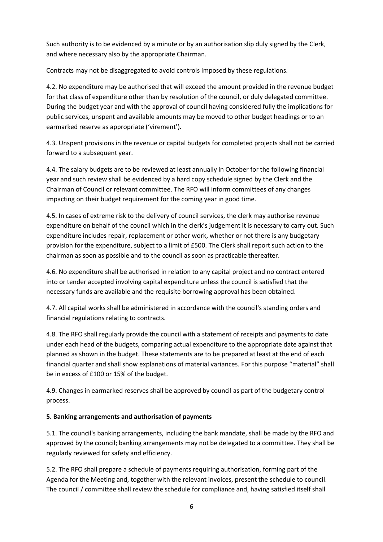Such authority is to be evidenced by a minute or by an authorisation slip duly signed by the Clerk, and where necessary also by the appropriate Chairman.

Contracts may not be disaggregated to avoid controls imposed by these regulations.

4.2. No expenditure may be authorised that will exceed the amount provided in the revenue budget for that class of expenditure other than by resolution of the council, or duly delegated committee. During the budget year and with the approval of council having considered fully the implications for public services, unspent and available amounts may be moved to other budget headings or to an earmarked reserve as appropriate ('virement').

4.3. Unspent provisions in the revenue or capital budgets for completed projects shall not be carried forward to a subsequent year.

4.4. The salary budgets are to be reviewed at least annually in October for the following financial year and such review shall be evidenced by a hard copy schedule signed by the Clerk and the Chairman of Council or relevant committee. The RFO will inform committees of any changes impacting on their budget requirement for the coming year in good time.

4.5. In cases of extreme risk to the delivery of council services, the clerk may authorise revenue expenditure on behalf of the council which in the clerk's judgement it is necessary to carry out. Such expenditure includes repair, replacement or other work, whether or not there is any budgetary provision for the expenditure, subject to a limit of £500. The Clerk shall report such action to the chairman as soon as possible and to the council as soon as practicable thereafter.

4.6. No expenditure shall be authorised in relation to any capital project and no contract entered into or tender accepted involving capital expenditure unless the council is satisfied that the necessary funds are available and the requisite borrowing approval has been obtained.

4.7. All capital works shall be administered in accordance with the council's standing orders and financial regulations relating to contracts.

4.8. The RFO shall regularly provide the council with a statement of receipts and payments to date under each head of the budgets, comparing actual expenditure to the appropriate date against that planned as shown in the budget. These statements are to be prepared at least at the end of each financial quarter and shall show explanations of material variances. For this purpose "material" shall be in excess of £100 or 15% of the budget.

4.9. Changes in earmarked reserves shall be approved by council as part of the budgetary control process.

#### **5. Banking arrangements and authorisation of payments**

5.1. The council's banking arrangements, including the bank mandate, shall be made by the RFO and approved by the council; banking arrangements may not be delegated to a committee. They shall be regularly reviewed for safety and efficiency.

5.2. The RFO shall prepare a schedule of payments requiring authorisation, forming part of the Agenda for the Meeting and, together with the relevant invoices, present the schedule to council. The council / committee shall review the schedule for compliance and, having satisfied itself shall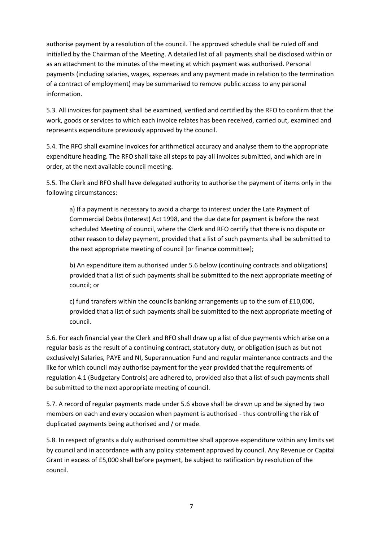authorise payment by a resolution of the council. The approved schedule shall be ruled off and initialled by the Chairman of the Meeting. A detailed list of all payments shall be disclosed within or as an attachment to the minutes of the meeting at which payment was authorised. Personal payments (including salaries, wages, expenses and any payment made in relation to the termination of a contract of employment) may be summarised to remove public access to any personal information.

5.3. All invoices for payment shall be examined, verified and certified by the RFO to confirm that the work, goods or services to which each invoice relates has been received, carried out, examined and represents expenditure previously approved by the council.

5.4. The RFO shall examine invoices for arithmetical accuracy and analyse them to the appropriate expenditure heading. The RFO shall take all steps to pay all invoices submitted, and which are in order, at the next available council meeting.

5.5. The Clerk and RFO shall have delegated authority to authorise the payment of items only in the following circumstances:

a) If a payment is necessary to avoid a charge to interest under the Late Payment of Commercial Debts (Interest) Act 1998, and the due date for payment is before the next scheduled Meeting of council, where the Clerk and RFO certify that there is no dispute or other reason to delay payment, provided that a list of such payments shall be submitted to the next appropriate meeting of council [or finance committee];

b) An expenditure item authorised under 5.6 below (continuing contracts and obligations) provided that a list of such payments shall be submitted to the next appropriate meeting of council; or

c) fund transfers within the councils banking arrangements up to the sum of £10,000, provided that a list of such payments shall be submitted to the next appropriate meeting of council.

5.6. For each financial year the Clerk and RFO shall draw up a list of due payments which arise on a regular basis as the result of a continuing contract, statutory duty, or obligation (such as but not exclusively) Salaries, PAYE and NI, Superannuation Fund and regular maintenance contracts and the like for which council may authorise payment for the year provided that the requirements of regulation 4.1 (Budgetary Controls) are adhered to, provided also that a list of such payments shall be submitted to the next appropriate meeting of council.

5.7. A record of regular payments made under 5.6 above shall be drawn up and be signed by two members on each and every occasion when payment is authorised - thus controlling the risk of duplicated payments being authorised and / or made.

5.8. In respect of grants a duly authorised committee shall approve expenditure within any limits set by council and in accordance with any policy statement approved by council. Any Revenue or Capital Grant in excess of £5,000 shall before payment, be subject to ratification by resolution of the council.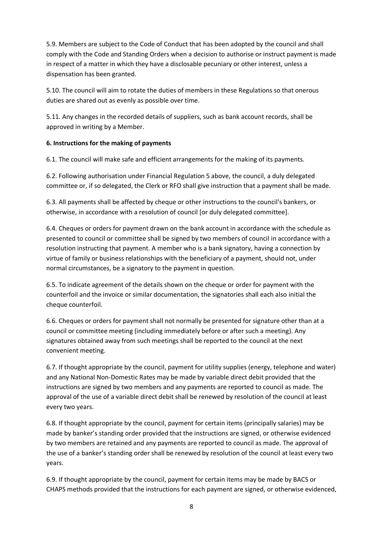5.9. Members are subject to the Code of Conduct that has been adopted by the council and shall comply with the Code and Standing Orders when a decision to authorise or instruct payment is made in respect of a matter in which they have a disclosable pecuniary or other interest, unless a dispensation has been granted.

5.10. The council will aim to rotate the duties of members in these Regulations so that onerous duties are shared out as evenly as possible over time.

5.11. Any changes in the recorded details of suppliers, such as bank account records, shall be approved in writing by a Member.

#### **6. Instructions for the making of payments**

6.1. The council will make safe and efficient arrangements for the making of its payments.

6.2. Following authorisation under Financial Regulation 5 above, the council, a duly delegated committee or, if so delegated, the Clerk or RFO shall give instruction that a payment shall be made.

6.3. All payments shall be affected by cheque or other instructions to the council's bankers, or otherwise, in accordance with a resolution of council [or duly delegated committee].

6.4. Cheques or orders for payment drawn on the bank account in accordance with the schedule as presented to council or committee shall be signed by two members of council in accordance with a resolution instructing that payment. A member who is a bank signatory, having a connection by virtue of family or business relationships with the beneficiary of a payment, should not, under normal circumstances, be a signatory to the payment in question.

6.5. To indicate agreement of the details shown on the cheque or order for payment with the counterfoil and the invoice or similar documentation, the signatories shall each also initial the cheque counterfoil.

6.6. Cheques or orders for payment shall not normally be presented for signature other than at a council or committee meeting (including immediately before or after such a meeting). Any signatures obtained away from such meetings shall be reported to the council at the next convenient meeting.

6.7. If thought appropriate by the council, payment for utility supplies (energy, telephone and water) and any National Non-Domestic Rates may be made by variable direct debit provided that the instructions are signed by two members and any payments are reported to council as made. The approval of the use of a variable direct debit shall be renewed by resolution of the council at least every two years.

6.8. If thought appropriate by the council, payment for certain items (principally salaries) may be made by banker's standing order provided that the instructions are signed, or otherwise evidenced by two members are retained and any payments are reported to council as made. The approval of the use of a banker's standing order shall be renewed by resolution of the council at least every two years.

6.9. If thought appropriate by the council, payment for certain items may be made by BACS or CHAPS methods provided that the instructions for each payment are signed, or otherwise evidenced,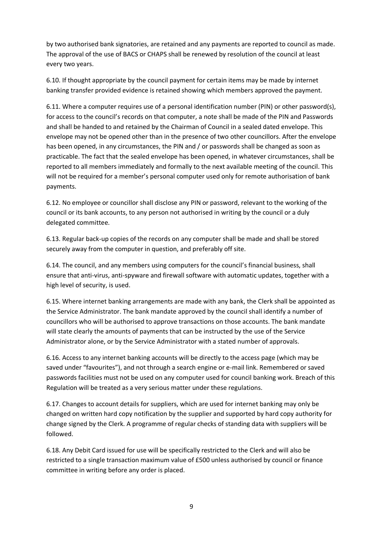by two authorised bank signatories, are retained and any payments are reported to council as made. The approval of the use of BACS or CHAPS shall be renewed by resolution of the council at least every two years.

6.10. If thought appropriate by the council payment for certain items may be made by internet banking transfer provided evidence is retained showing which members approved the payment.

6.11. Where a computer requires use of a personal identification number (PIN) or other password(s), for access to the council's records on that computer, a note shall be made of the PIN and Passwords and shall be handed to and retained by the Chairman of Council in a sealed dated envelope. This envelope may not be opened other than in the presence of two other councillors. After the envelope has been opened, in any circumstances, the PIN and / or passwords shall be changed as soon as practicable. The fact that the sealed envelope has been opened, in whatever circumstances, shall be reported to all members immediately and formally to the next available meeting of the council. This will not be required for a member's personal computer used only for remote authorisation of bank payments.

6.12. No employee or councillor shall disclose any PIN or password, relevant to the working of the council or its bank accounts, to any person not authorised in writing by the council or a duly delegated committee.

6.13. Regular back-up copies of the records on any computer shall be made and shall be stored securely away from the computer in question, and preferably off site.

6.14. The council, and any members using computers for the council's financial business, shall ensure that anti-virus, anti-spyware and firewall software with automatic updates, together with a high level of security, is used.

6.15. Where internet banking arrangements are made with any bank, the Clerk shall be appointed as the Service Administrator. The bank mandate approved by the council shall identify a number of councillors who will be authorised to approve transactions on those accounts. The bank mandate will state clearly the amounts of payments that can be instructed by the use of the Service Administrator alone, or by the Service Administrator with a stated number of approvals.

6.16. Access to any internet banking accounts will be directly to the access page (which may be saved under "favourites"), and not through a search engine or e-mail link. Remembered or saved passwords facilities must not be used on any computer used for council banking work. Breach of this Regulation will be treated as a very serious matter under these regulations.

6.17. Changes to account details for suppliers, which are used for internet banking may only be changed on written hard copy notification by the supplier and supported by hard copy authority for change signed by the Clerk. A programme of regular checks of standing data with suppliers will be followed.

6.18. Any Debit Card issued for use will be specifically restricted to the Clerk and will also be restricted to a single transaction maximum value of £500 unless authorised by council or finance committee in writing before any order is placed.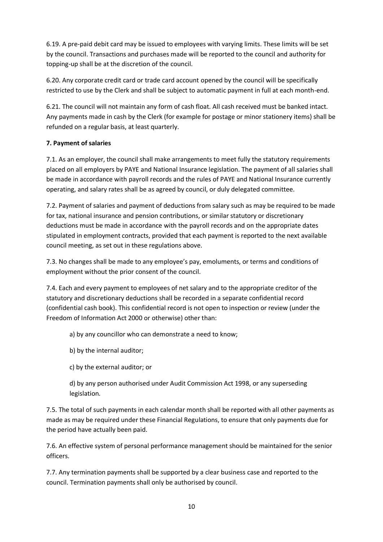6.19. A pre-paid debit card may be issued to employees with varying limits. These limits will be set by the council. Transactions and purchases made will be reported to the council and authority for topping-up shall be at the discretion of the council.

6.20. Any corporate credit card or trade card account opened by the council will be specifically restricted to use by the Clerk and shall be subject to automatic payment in full at each month-end.

6.21. The council will not maintain any form of cash float. All cash received must be banked intact. Any payments made in cash by the Clerk (for example for postage or minor stationery items) shall be refunded on a regular basis, at least quarterly.

## **7. Payment of salaries**

7.1. As an employer, the council shall make arrangements to meet fully the statutory requirements placed on all employers by PAYE and National Insurance legislation. The payment of all salaries shall be made in accordance with payroll records and the rules of PAYE and National Insurance currently operating, and salary rates shall be as agreed by council, or duly delegated committee.

7.2. Payment of salaries and payment of deductions from salary such as may be required to be made for tax, national insurance and pension contributions, or similar statutory or discretionary deductions must be made in accordance with the payroll records and on the appropriate dates stipulated in employment contracts, provided that each payment is reported to the next available council meeting, as set out in these regulations above.

7.3. No changes shall be made to any employee's pay, emoluments, or terms and conditions of employment without the prior consent of the council.

7.4. Each and every payment to employees of net salary and to the appropriate creditor of the statutory and discretionary deductions shall be recorded in a separate confidential record (confidential cash book). This confidential record is not open to inspection or review (under the Freedom of Information Act 2000 or otherwise) other than:

a) by any councillor who can demonstrate a need to know;

b) by the internal auditor;

c) by the external auditor; or

d) by any person authorised under Audit Commission Act 1998, or any superseding legislation.

7.5. The total of such payments in each calendar month shall be reported with all other payments as made as may be required under these Financial Regulations, to ensure that only payments due for the period have actually been paid.

7.6. An effective system of personal performance management should be maintained for the senior officers.

7.7. Any termination payments shall be supported by a clear business case and reported to the council. Termination payments shall only be authorised by council.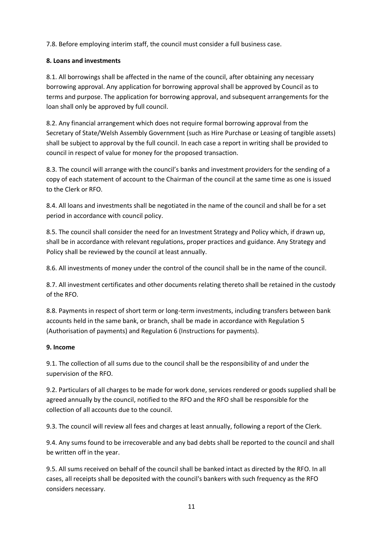7.8. Before employing interim staff, the council must consider a full business case.

#### **8. Loans and investments**

8.1. All borrowings shall be affected in the name of the council, after obtaining any necessary borrowing approval. Any application for borrowing approval shall be approved by Council as to terms and purpose. The application for borrowing approval, and subsequent arrangements for the loan shall only be approved by full council.

8.2. Any financial arrangement which does not require formal borrowing approval from the Secretary of State/Welsh Assembly Government (such as Hire Purchase or Leasing of tangible assets) shall be subject to approval by the full council. In each case a report in writing shall be provided to council in respect of value for money for the proposed transaction.

8.3. The council will arrange with the council's banks and investment providers for the sending of a copy of each statement of account to the Chairman of the council at the same time as one is issued to the Clerk or RFO.

8.4. All loans and investments shall be negotiated in the name of the council and shall be for a set period in accordance with council policy.

8.5. The council shall consider the need for an Investment Strategy and Policy which, if drawn up, shall be in accordance with relevant regulations, proper practices and guidance. Any Strategy and Policy shall be reviewed by the council at least annually.

8.6. All investments of money under the control of the council shall be in the name of the council.

8.7. All investment certificates and other documents relating thereto shall be retained in the custody of the RFO.

8.8. Payments in respect of short term or long-term investments, including transfers between bank accounts held in the same bank, or branch, shall be made in accordance with Regulation 5 (Authorisation of payments) and Regulation 6 (Instructions for payments).

#### **9. Income**

9.1. The collection of all sums due to the council shall be the responsibility of and under the supervision of the RFO.

9.2. Particulars of all charges to be made for work done, services rendered or goods supplied shall be agreed annually by the council, notified to the RFO and the RFO shall be responsible for the collection of all accounts due to the council.

9.3. The council will review all fees and charges at least annually, following a report of the Clerk.

9.4. Any sums found to be irrecoverable and any bad debts shall be reported to the council and shall be written off in the year.

9.5. All sums received on behalf of the council shall be banked intact as directed by the RFO. In all cases, all receipts shall be deposited with the council's bankers with such frequency as the RFO considers necessary.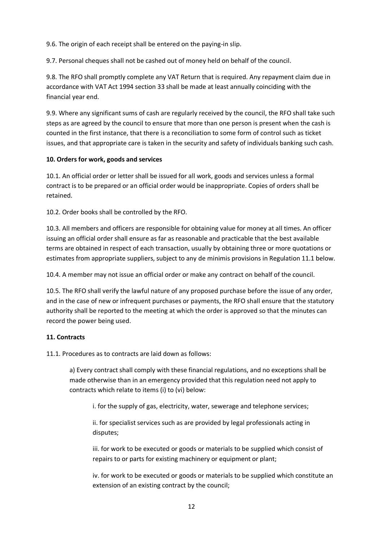9.6. The origin of each receipt shall be entered on the paying-in slip.

9.7. Personal cheques shall not be cashed out of money held on behalf of the council.

9.8. The RFO shall promptly complete any VAT Return that is required. Any repayment claim due in accordance with VAT Act 1994 section 33 shall be made at least annually coinciding with the financial year end.

9.9. Where any significant sums of cash are regularly received by the council, the RFO shall take such steps as are agreed by the council to ensure that more than one person is present when the cash is counted in the first instance, that there is a reconciliation to some form of control such as ticket issues, and that appropriate care is taken in the security and safety of individuals banking such cash.

#### **10. Orders for work, goods and services**

10.1. An official order or letter shall be issued for all work, goods and services unless a formal contract is to be prepared or an official order would be inappropriate. Copies of orders shall be retained.

10.2. Order books shall be controlled by the RFO.

10.3. All members and officers are responsible for obtaining value for money at all times. An officer issuing an official order shall ensure as far as reasonable and practicable that the best available terms are obtained in respect of each transaction, usually by obtaining three or more quotations or estimates from appropriate suppliers, subject to any de minimis provisions in Regulation 11.1 below.

10.4. A member may not issue an official order or make any contract on behalf of the council.

10.5. The RFO shall verify the lawful nature of any proposed purchase before the issue of any order, and in the case of new or infrequent purchases or payments, the RFO shall ensure that the statutory authority shall be reported to the meeting at which the order is approved so that the minutes can record the power being used.

#### **11. Contracts**

11.1. Procedures as to contracts are laid down as follows:

a) Every contract shall comply with these financial regulations, and no exceptions shall be made otherwise than in an emergency provided that this regulation need not apply to contracts which relate to items (i) to (vi) below:

i. for the supply of gas, electricity, water, sewerage and telephone services;

ii. for specialist services such as are provided by legal professionals acting in disputes;

iii. for work to be executed or goods or materials to be supplied which consist of repairs to or parts for existing machinery or equipment or plant;

iv. for work to be executed or goods or materials to be supplied which constitute an extension of an existing contract by the council;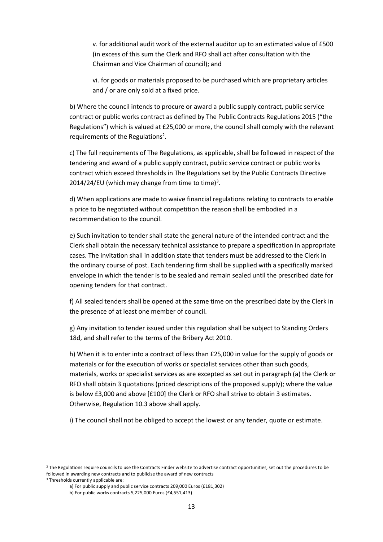v. for additional audit work of the external auditor up to an estimated value of £500 (in excess of this sum the Clerk and RFO shall act after consultation with the Chairman and Vice Chairman of council); and

vi. for goods or materials proposed to be purchased which are proprietary articles and / or are only sold at a fixed price.

b) Where the council intends to procure or award a public supply contract, public service contract or public works contract as defined by The Public Contracts Regulations 2015 ("the Regulations") which is valued at £25,000 or more, the council shall comply with the relevant requirements of the Regulations<sup>2</sup>.

c) The full requirements of The Regulations, as applicable, shall be followed in respect of the tendering and award of a public supply contract, public service contract or public works contract which exceed thresholds in The Regulations set by the Public Contracts Directive 2014/24/EU (which may change from time to time)<sup>3</sup>.

d) When applications are made to waive financial regulations relating to contracts to enable a price to be negotiated without competition the reason shall be embodied in a recommendation to the council.

e) Such invitation to tender shall state the general nature of the intended contract and the Clerk shall obtain the necessary technical assistance to prepare a specification in appropriate cases. The invitation shall in addition state that tenders must be addressed to the Clerk in the ordinary course of post. Each tendering firm shall be supplied with a specifically marked envelope in which the tender is to be sealed and remain sealed until the prescribed date for opening tenders for that contract.

f) All sealed tenders shall be opened at the same time on the prescribed date by the Clerk in the presence of at least one member of council.

g) Any invitation to tender issued under this regulation shall be subject to Standing Orders 18d, and shall refer to the terms of the Bribery Act 2010.

h) When it is to enter into a contract of less than £25,000 in value for the supply of goods or materials or for the execution of works or specialist services other than such goods, materials, works or specialist services as are excepted as set out in paragraph (a) the Clerk or RFO shall obtain 3 quotations (priced descriptions of the proposed supply); where the value is below £3,000 and above [£100] the Clerk or RFO shall strive to obtain 3 estimates. Otherwise, Regulation 10.3 above shall apply.

i) The council shall not be obliged to accept the lowest or any tender, quote or estimate.

<sup>&</sup>lt;sup>2</sup> The Regulations require councils to use the Contracts Finder website to advertise contract opportunities, set out the procedures to be followed in awarding new contracts and to publicise the award of new contracts

<sup>&</sup>lt;sup>3</sup> Thresholds currently applicable are:

a) For public supply and public service contracts 209,000 Euros (£181,302)

b) For public works contracts 5,225,000 Euros (£4,551,413)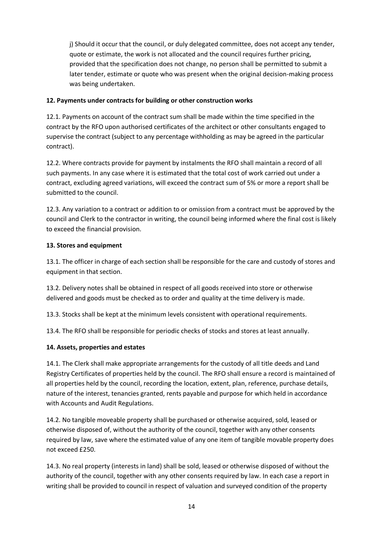j) Should it occur that the council, or duly delegated committee, does not accept any tender, quote or estimate, the work is not allocated and the council requires further pricing, provided that the specification does not change, no person shall be permitted to submit a later tender, estimate or quote who was present when the original decision-making process was being undertaken.

### **12. Payments under contracts for building or other construction works**

12.1. Payments on account of the contract sum shall be made within the time specified in the contract by the RFO upon authorised certificates of the architect or other consultants engaged to supervise the contract (subject to any percentage withholding as may be agreed in the particular contract).

12.2. Where contracts provide for payment by instalments the RFO shall maintain a record of all such payments. In any case where it is estimated that the total cost of work carried out under a contract, excluding agreed variations, will exceed the contract sum of 5% or more a report shall be submitted to the council.

12.3. Any variation to a contract or addition to or omission from a contract must be approved by the council and Clerk to the contractor in writing, the council being informed where the final cost is likely to exceed the financial provision.

#### **13. Stores and equipment**

13.1. The officer in charge of each section shall be responsible for the care and custody of stores and equipment in that section.

13.2. Delivery notes shall be obtained in respect of all goods received into store or otherwise delivered and goods must be checked as to order and quality at the time delivery is made.

13.3. Stocks shall be kept at the minimum levels consistent with operational requirements.

13.4. The RFO shall be responsible for periodic checks of stocks and stores at least annually.

## **14. Assets, properties and estates**

14.1. The Clerk shall make appropriate arrangements for the custody of all title deeds and Land Registry Certificates of properties held by the council. The RFO shall ensure a record is maintained of all properties held by the council, recording the location, extent, plan, reference, purchase details, nature of the interest, tenancies granted, rents payable and purpose for which held in accordance with Accounts and Audit Regulations.

14.2. No tangible moveable property shall be purchased or otherwise acquired, sold, leased or otherwise disposed of, without the authority of the council, together with any other consents required by law, save where the estimated value of any one item of tangible movable property does not exceed £250.

14.3. No real property (interests in land) shall be sold, leased or otherwise disposed of without the authority of the council, together with any other consents required by law. In each case a report in writing shall be provided to council in respect of valuation and surveyed condition of the property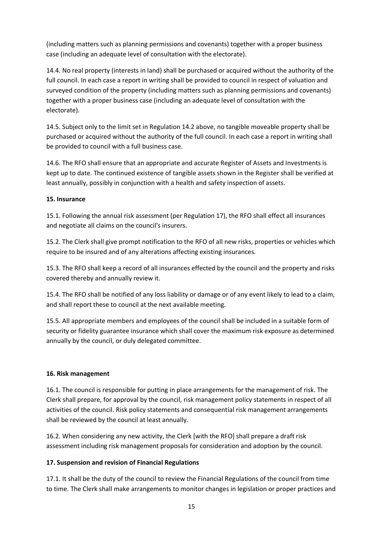(including matters such as planning permissions and covenants) together with a proper business case (including an adequate level of consultation with the electorate).

14.4. No real property (interests in land) shall be purchased or acquired without the authority of the full council. In each case a report in writing shall be provided to council in respect of valuation and surveyed condition of the property (including matters such as planning permissions and covenants) together with a proper business case (including an adequate level of consultation with the electorate).

14.5. Subject only to the limit set in Regulation 14.2 above, no tangible moveable property shall be purchased or acquired without the authority of the full council. In each case a report in writing shall be provided to council with a full business case.

14.6. The RFO shall ensure that an appropriate and accurate Register of Assets and Investments is kept up to date. The continued existence of tangible assets shown in the Register shall be verified at least annually, possibly in conjunction with a health and safety inspection of assets.

#### **15. Insurance**

15.1. Following the annual risk assessment (per Regulation 17), the RFO shall effect all insurances and negotiate all claims on the council's insurers.

15.2. The Clerk shall give prompt notification to the RFO of all new risks, properties or vehicles which require to be insured and of any alterations affecting existing insurances.

15.3. The RFO shall keep a record of all insurances effected by the council and the property and risks covered thereby and annually review it.

15.4. The RFO shall be notified of any loss liability or damage or of any event likely to lead to a claim, and shall report these to council at the next available meeting.

15.5. All appropriate members and employees of the council shall be included in a suitable form of security or fidelity guarantee insurance which shall cover the maximum risk exposure as determined annually by the council, or duly delegated committee.

#### **16. Risk management**

16.1. The council is responsible for putting in place arrangements for the management of risk. The Clerk shall prepare, for approval by the council, risk management policy statements in respect of all activities of the council. Risk policy statements and consequential risk management arrangements shall be reviewed by the council at least annually.

16.2. When considering any new activity, the Clerk [with the RFO] shall prepare a draft risk assessment including risk management proposals for consideration and adoption by the council.

## **17. Suspension and revision of Financial Regulations**

17.1. It shall be the duty of the council to review the Financial Regulations of the council from time to time. The Clerk shall make arrangements to monitor changes in legislation or proper practices and